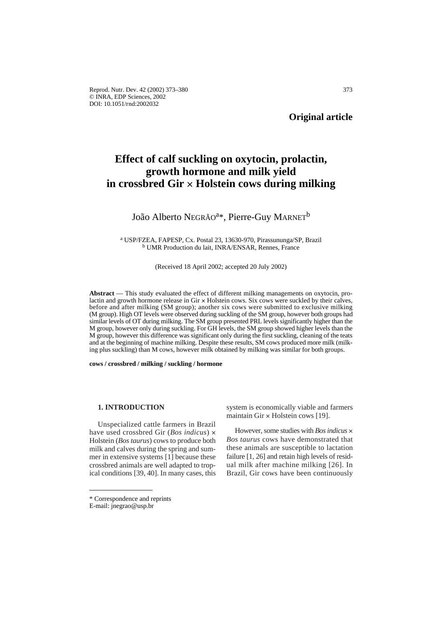Reprod. Nutr. Dev. 42 (2002) 373–380 373 © INRA, EDP Sciences, 2002 DOI: 10.1051/rnd:2002032

**Original article**

# **Effect of calf suckling on oxytocin, prolactin, growth hormone and milk yield in crossbred Gir × Holstein cows during milking**

# João Alberto NEGRÃO<sup>a\*</sup>, Pierre-Guy MARNET<sup>b</sup>

<sup>a</sup> USP/FZEA, FAPESP, Cx. Postal 23, 13630-970, Pirassununga/SP, Brazil <sup>b</sup> UMR Production du lait, INRA/ENSAR, Rennes, France

(Received 18 April 2002; accepted 20 July 2002)

**Abstract** — This study evaluated the effect of different milking managements on oxytocin, prolactin and growth hormone release in Gir  $\times$  Holstein cows. Six cows were suckled by their calves, before and after milking (SM group); another six cows were submitted to exclusive milking (M group). High OT levels were observed during suckling of the SM group, however both groups had similar levels of OT during milking. The SM group presented PRL levels significantly higher than the M group, however only during suckling. For GH levels, the SM group showed higher levels than the M group, however this difference was significant only during the first suckling, cleaning of the teats and at the beginning of machine milking. Despite these results, SM cows produced more milk (milking plus suckling) than M cows, however milk obtained by milking was similar for both groups.

**cows / crossbred / milking / suckling / hormone**

# **1. INTRODUCTION**

Unspecialized cattle farmers in Brazil have used crossbred Gir (*Bos indicus*)  $\times$ Holstein (*Bos taurus*) cows to produce both milk and calves during the spring and summer in extensive systems [1] because these crossbred animals are well adapted to tropical conditions [39, 40]. In many cases, this

system is economically viable and farmers maintain Gir  $\times$  Holstein cows [19].

However, some studies with *Bos indicus*  $\times$ *Bos taurus* cows have demonstrated that these animals are susceptible to lactation failure [1, 26] and retain high levels of residual milk after machine milking [26]. In Brazil, Gir cows have been continuously

<sup>\*</sup> Correspondence and reprints

E-mail: jnegrao@usp.br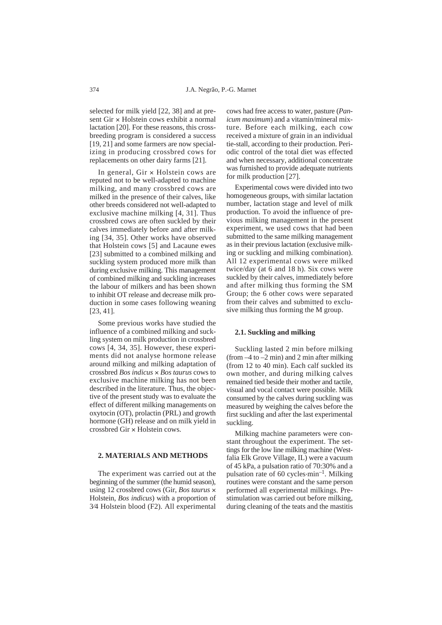selected for milk yield [22, 38] and at present Gir × Holstein cows exhibit a normal lactation [20]. For these reasons, this crossbreeding program is considered a success [19, 21] and some farmers are now specializing in producing crossbred cows for replacements on other dairy farms [21].

In general, Gir  $\times$  Holstein cows are reputed not to be well-adapted to machine milking, and many crossbred cows are milked in the presence of their calves, like other breeds considered not well-adapted to exclusive machine milking [4, 31]. Thus crossbred cows are often suckled by their calves immediately before and after milking [34, 35]. Other works have observed that Holstein cows [5] and Lacaune ewes [23] submitted to a combined milking and suckling system produced more milk than during exclusive milking. This management of combined milking and suckling increases the labour of milkers and has been shown to inhibit OT release and decrease milk production in some cases following weaning [23, 41].

Some previous works have studied the influence of a combined milking and suckling system on milk production in crossbred cows [4, 34, 35]. However, these experiments did not analyse hormone release around milking and milking adaptation of crossbred *Bos indicus*  $\times$  *Bos taurus* cows to exclusive machine milking has not been described in the literature. Thus, the objective of the present study was to evaluate the effect of different milking managements on oxytocin (OT), prolactin (PRL) and growth hormone (GH) release and on milk yield in crossbred Gir  $\times$  Holstein cows.

#### **2. MATERIALS AND METHODS**

The experiment was carried out at the beginning of the summer (the humid season), using 12 crossbred cows (Gir, *Bos taurus* ´ Holstein, *Bos indicus*) with a proportion of 3⁄4 Holstein blood (F2). All experimental

cows had free access to water, pasture (*Panicum maximum*) and a vitamin/mineral mixture. Before each milking, each cow received a mixture of grain in an individual tie-stall, according to their production. Periodic control of the total diet was effected and when necessary, additional concentrate was furnished to provide adequate nutrients for milk production [27].

Experimental cows were divided into two homogeneous groups, with similar lactation number, lactation stage and level of milk production. To avoid the influence of previous milking management in the present experiment, we used cows that had been submitted to the same milking management as in their previous lactation (exclusive milking or suckling and milking combination). All 12 experimental cows were milked twice/day (at 6 and 18 h). Six cows were suckled by their calves, immediately before and after milking thus forming the SM Group; the 6 other cows were separated from their calves and submitted to exclusive milking thus forming the M group.

#### **2.1. Suckling and milking**

Suckling lasted 2 min before milking (from  $-4$  to  $-2$  min) and 2 min after milking (from 12 to 40 min). Each calf suckled its own mother, and during milking calves remained tied beside their mother and tactile, visual and vocal contact were possible. Milk consumed by the calves during suckling was measured by weighing the calves before the first suckling and after the last experimental suckling.

Milking machine parameters were constant throughout the experiment. The settings for the low line milking machine (Westfalia Elk Grove Village, IL) were a vacuum of 45 kPa, a pulsation ratio of 70:30% and a pulsation rate of 60 cycles.min–1. Milking routines were constant and the same person performed all experimental milkings. Prestimulation was carried out before milking, during cleaning of the teats and the mastitis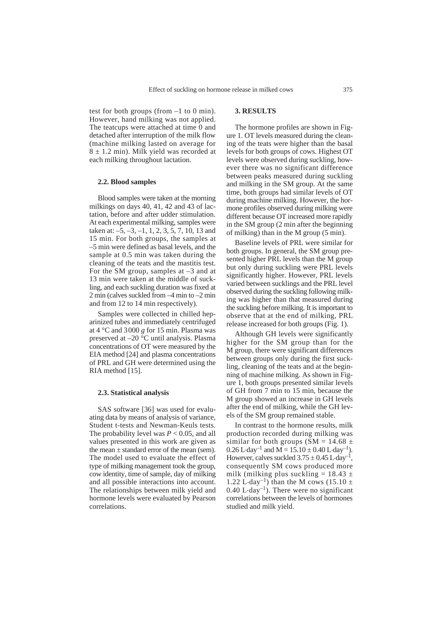test for both groups (from  $-1$  to 0 min). However, hand milking was not applied. The teatcups were attached at time 0 and detached after interruption of the milk flow (machine milking lasted on average for  $8 \pm 1.2$  min). Milk yield was recorded at each milking throughout lactation.

# **2.2. Blood samples**

Blood samples were taken at the morning milkings on days 40, 41, 42 and 43 of lactation, before and after udder stimulation. At each experimental milking, samples were taken at: –5, –3, –1, 1, 2, 3, 5, 7, 10, 13 and 15 min. For both groups, the samples at –5 min were defined as basal levels, and the sample at 0.5 min was taken during the cleaning of the teats and the mastitis test. For the SM group, samples at –3 and at 13 min were taken at the middle of suckling, and each suckling duration was fixed at 2 min (calves suckled from –4 min to –2 min and from 12 to 14 min respectively).

Samples were collected in chilled heparinized tubes and immediately centrifuged at 4 °C and 3000 *g* for 15 min. Plasma was preserved at –20 °C until analysis. Plasma concentrations of OT were measured by the EIA method [24] and plasma concentrations of PRL and GH were determined using the RIA method [15].

#### **2.3. Statistical analysis**

SAS software [36] was used for evaluating data by means of analysis of variance, Student t-tests and Newman-Keuls tests. The probability level was *P* < 0.05, and all values presented in this work are given as the mean  $\pm$  standard error of the mean (sem). The model used to evaluate the effect of type of milking management took the group, cow identity, time of sample, day of milking and all possible interactions into account. The relationships between milk yield and hormone levels were evaluated by Pearson correlations.

# **3. RESULTS**

The hormone profiles are shown in Figure 1. OT levels measured during the cleaning of the teats were higher than the basal levels for both groups of cows. Highest OT levels were observed during suckling, however there was no significant difference between peaks measured during suckling and milking in the SM group. At the same time, both groups had similar levels of OT during machine milking. However, the hormone profiles observed during milking were different because OT increased more rapidly in the SM group (2 min after the beginning of milking) than in the M group (5 min).

Baseline levels of PRL were similar for both groups. In general, the SM group presented higher PRL levels than the M group but only during suckling were PRL levels significantly higher. However, PRL levels varied between sucklings and the PRL level observed during the suckling following milking was higher than that measured during the suckling before milking. It is important to observe that at the end of milking, PRL release increased for both groups (Fig. 1).

Although GH levels were significantly higher for the SM group than for the M group, there were significant differences between groups only during the first suckling, cleaning of the teats and at the beginning of machine milking. As shown in Figure 1, both groups presented similar levels of GH from 7 min to 15 min, because the M group showed an increase in GH levels after the end of milking, while the GH levels of the SM group remained stable.

In contrast to the hormone results, milk production recorded during milking was similar for both groups ( $\overline{SM} = 14.68 \pm$  $0.26$  L·day<sup>-1</sup> and M =  $15.10 \pm 0.40$  L·day<sup>-1</sup>). However, calves suckled  $3.75 \pm 0.45$  L $\cdot$ day<sup>-1</sup>, consequently SM cows produced more milk (milking plus suckling =  $18.43 \pm$ 1.22 L $\cdot$ day<sup>-1</sup>) than the M cows (15.10 ±  $0.40$  L $\cdot$ day<sup>-1</sup>). There were no significant correlations between the levels of hormones studied and milk yield.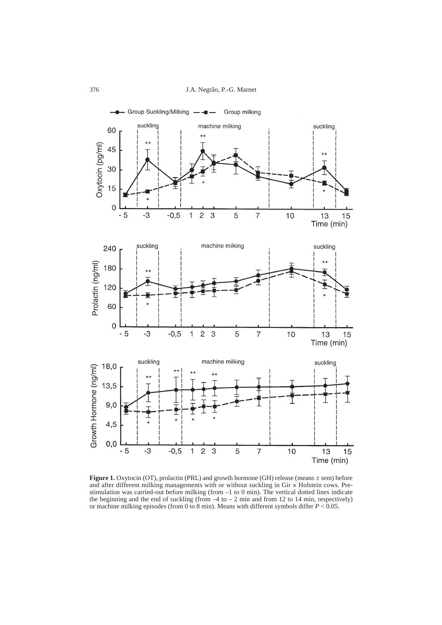

Figure 1. Oxytocin (OT), prolactin (PRL) and growth hormone (GH) release (means  $\pm$  sem) before and after different milking managements with or without suckling in  $Gir \times Holstein$  cows. Prestimulation was carried-out before milking (from –1 to 0 min). The vertical dotted lines indicate the beginning and the end of suckling (from  $-4$  to  $-2$  min and from 12 to 14 min, respectively) or machine milking episodes (from 0 to 8 min). Means with different symbols differ *P* < 0.05.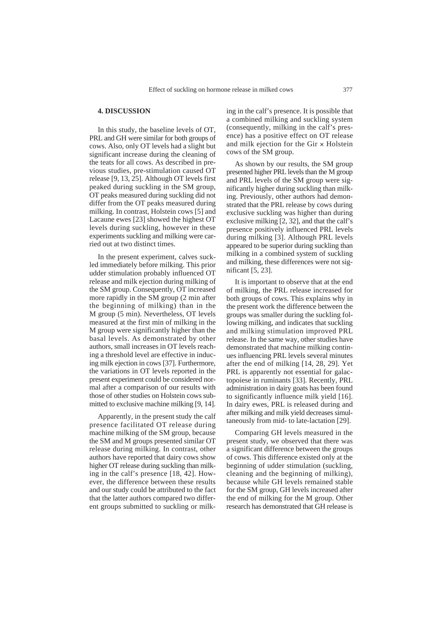# **4. DISCUSSION**

In this study, the baseline levels of OT, PRL and GH were similar for both groups of cows. Also, only OT levels had a slight but significant increase during the cleaning of the teats for all cows. As described in previous studies, pre-stimulation caused OT release [9, 13, 25]. Although OT levels first peaked during suckling in the SM group, OT peaks measured during suckling did not differ from the OT peaks measured during milking. In contrast, Holstein cows [5] and Lacaune ewes [23] showed the highest OT levels during suckling, however in these experiments suckling and milking were carried out at two distinct times.

In the present experiment, calves suckled immediately before milking. This prior udder stimulation probably influenced OT release and milk ejection during milking of the SM group. Consequently, OT increased more rapidly in the SM group (2 min after the beginning of milking) than in the M group (5 min). Nevertheless, OT levels measured at the first min of milking in the M group were significantly higher than the basal levels. As demonstrated by other authors, small increases in OT levels reaching a threshold level are effective in inducing milk ejection in cows [37]. Furthermore, the variations in OT levels reported in the present experiment could be considered normal after a comparison of our results with those of other studies on Holstein cows submitted to exclusive machine milking [9, 14].

Apparently, in the present study the calf presence facilitated OT release during machine milking of the SM group, because the SM and M groups presented similar OT release during milking. In contrast, other authors have reported that dairy cows show higher OT release during suckling than milking in the calf's presence [18, 42]. However, the difference between these results and our study could be attributed to the fact that the latter authors compared two different groups submitted to suckling or milking in the calf's presence. It is possible that a combined milking and suckling system (consequently, milking in the calf's presence) has a positive effect on OT release and milk ejection for the Gir  $\times$  Holstein cows of the SM group.

As shown by our results, the SM group presented higher PRL levels than the M group and PRL levels of the SM group were significantly higher during suckling than milking. Previously, other authors had demonstrated that the PRL release by cows during exclusive suckling was higher than during exclusive milking [2, 32], and that the calf's presence positively influenced PRL levels during milking [3]. Although PRL levels appeared to be superior during suckling than milking in a combined system of suckling and milking, these differences were not significant [5, 23].

It is important to observe that at the end of milking, the PRL release increased for both groups of cows. This explains why in the present work the difference between the groups was smaller during the suckling following milking, and indicates that suckling and milking stimulation improved PRL release. In the same way, other studies have demonstrated that machine milking continues influencing PRL levels several minutes after the end of milking [14, 28, 29]. Yet PRL is apparently not essential for galactopoiese in ruminants [33]. Recently, PRL administration in dairy goats has been found to significantly influence milk yield [16]. In dairy ewes, PRL is released during and after milking and milk yield decreases simultaneously from mid- to late-lactation [29].

Comparing GH levels measured in the present study, we observed that there was a significant difference between the groups of cows. This difference existed only at the beginning of udder stimulation (suckling, cleaning and the beginning of milking), because while GH levels remained stable for the SM group, GH levels increased after the end of milking for the M group. Other research has demonstrated that GH release is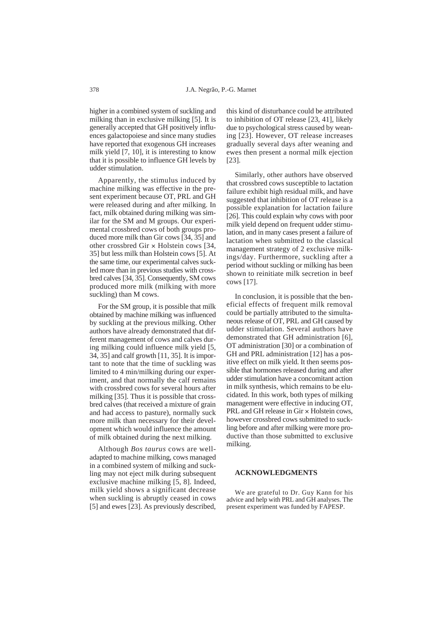higher in a combined system of suckling and milking than in exclusive milking [5]. It is generally accepted that GH positively influences galactopoiese and since many studies have reported that exogenous GH increases milk yield [7, 10], it is interesting to know that it is possible to influence GH levels by udder stimulation.

Apparently, the stimulus induced by machine milking was effective in the present experiment because OT, PRL and GH were released during and after milking. In fact, milk obtained during milking was similar for the SM and M groups. Our experimental crossbred cows of both groups produced more milk than Gir cows [34, 35] and other crossbred Gir  $\times$  Holstein cows [34, 35] but less milk than Holstein cows [5]. At the same time, our experimental calves suckled more than in previous studies with crossbred calves [34, 35]. Consequently, SM cows produced more milk (milking with more suckling) than M cows.

For the SM group, it is possible that milk obtained by machine milking was influenced by suckling at the previous milking. Other authors have already demonstrated that different management of cows and calves during milking could influence milk yield [5, 34, 35] and calf growth [11, 35]. It is important to note that the time of suckling was limited to 4 min/milking during our experiment, and that normally the calf remains with crossbred cows for several hours after milking [35]. Thus it is possible that crossbred calves (that received a mixture of grain and had access to pasture), normally suck more milk than necessary for their development which would influence the amount of milk obtained during the next milking.

Although *Bos taurus* cows are welladapted to machine milking, cows managed in a combined system of milking and suckling may not eject milk during subsequent exclusive machine milking [5, 8]. Indeed, milk yield shows a significant decrease when suckling is abruptly ceased in cows [5] and ewes [23]. As previously described,

this kind of disturbance could be attributed to inhibition of OT release [23, 41], likely due to psychological stress caused by weaning [23]. However, OT release increases gradually several days after weaning and ewes then present a normal milk ejection [23].

Similarly, other authors have observed that crossbred cows susceptible to lactation failure exhibit high residual milk, and have suggested that inhibition of OT release is a possible explanation for lactation failure [26]. This could explain why cows with poor milk yield depend on frequent udder stimulation, and in many cases present a failure of lactation when submitted to the classical management strategy of 2 exclusive milkings/day. Furthermore, suckling after a period without suckling or milking has been shown to reinitiate milk secretion in beef cows [17].

In conclusion, it is possible that the beneficial effects of frequent milk removal could be partially attributed to the simultaneous release of OT, PRL and GH caused by udder stimulation. Several authors have demonstrated that GH administration [6], OT administration [30] or a combination of GH and PRL administration [12] has a positive effect on milk yield. It then seems possible that hormones released during and after udder stimulation have a concomitant action in milk synthesis, which remains to be elucidated. In this work, both types of milking management were effective in inducing OT, PRL and GH release in Gir  $\times$  Holstein cows, however crossbred cows submitted to suckling before and after milking were more productive than those submitted to exclusive milking.

#### **ACKNOWLEDGMENTS**

We are grateful to Dr. Guy Kann for his advice and help with PRL and GH analyses. The present experiment was funded by FAPESP.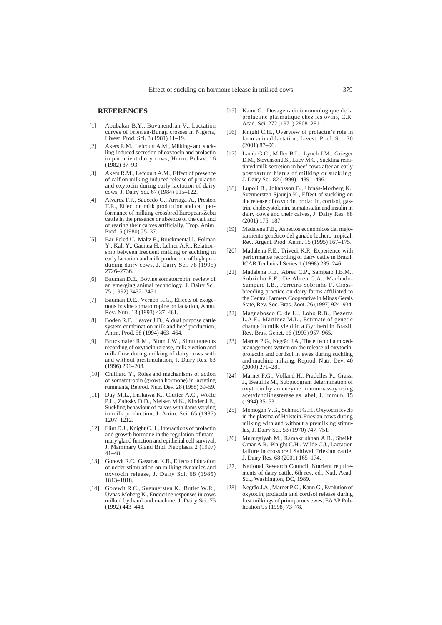#### **REFERENCES**

- [1] Abubakar B.Y., Buvanendran V., Lactation curves of Friesian-Bunaji crosses in Nigeria, Livest. Prod. Sci. 8 (1981) 11–19.
- [2] Akers R.M., Lefcourt A.M., Milking- and suckling-induced secretion of oxytocin and prolactin in parturient dairy cows, Horm. Behav. 16 (1982) 87–93.
- [3] Akers R.M., Lefcourt A.M., Effect of presence of calf on milking-induced release of prolactin and oxytocin during early lactation of dairy cows, J. Dairy Sci. 67 (1984) 115–122.
- [4] Alvarez F.J., Saucedo G., Arriaga A., Preston T.R., Effect on milk production and calf performance of milking crossbred European/Zebu cattle in the presence or absence of the calf and of rearing their calves artificially, Trop. Anim. Prod. 5 (1980) 25–37.
- [5] Bar-Peled U., Maltz E., Bruckmental I., Folman Y., Kali Y., Gacitua H., Lehrer A.R., Relationship between frequent milking or suckling in early lactation and milk production of high producing dairy cows, J. Dairy Sci. 78 (1995) 2726–2736.
- [6] Bauman D.E., Bovine somatotropin: review of an emerging animal technology, J. Dairy Sci. 75 (1992) 3432–3451.
- [7] Bauman D.E., Vernon R.G., Effects of exogenous bovine somatotropine on lactation, Annu. Rev. Nutr. 13 (1993) 437–461.
- [8] Boden R.F., Leaver J.D., A dual purpose cattle system combination milk and beef production, Anim. Prod. 58 (1994) 463–464.
- [9] Bruckmaier R.M., Blum J.W., Simultaneous recording of oxytocin release, milk ejection and milk flow during milking of dairy cows with and without prestimulation, J. Dairy Res. 63 (1996) 201–208.
- [10] Chilliard Y., Roles and mechanisms of action of somatotropin (growth hormone) in lactating ruminants, Reprod. Nutr. Dev. 28 (1988) 39–59.
- [11] Day M.L., Imikawa K., Clutter A.C., Wolfe P.L., Zalesky D.D., Nielsen M.K., Kinder J.E., Suckling behaviour of calves with dams varying in milk production, J. Anim. Sci. 65 (1987) 1207–1212.
- [12] Flint D.J., Knight C.H., Interactions of prolactin and growth hormone in the regulation of mammary gland function and epithelial cell survival, J. Mammary Gland Biol. Neoplasia 2 (1997) 41–48.
- [13] Gorewit R.C., Gassman K.B., Effects of duration of udder stimulation on milking dynamics and oxytocin release, J. Dairy Sci. 68 (1985) 1813–1818.
- [14] Gorewit R.C., Svennersten K., Butler W.R., Uvnas-Moberg K., Endocrine responses in cows milked by hand and machine, J. Dairy Sci. 75 (1992) 443–448.
- [15] Kann G., Dosage radioimmunologique de la prolactine plasmatique chez les ovins, C.R. Acad. Sci. 272 (1971) 2808–2811.
- [16] Knight C.H., Overview of prolactin's role in farm animal lactation, Livest. Prod. Sci. 70 (2001) 87–96.
- [17] Lamb G.C., Miller B.L., Lynch J.M., Grieger D.M., Stevenson J.S., Lucy M.C., Suckling reinitiated milk secretion in beef cows after an early postpartum hiatus of milking or suckling, J. Dairy Sci. 82 (1999) 1489–1496.
- [18] Lupoli B., Johansson B., Uvnäs-Morberg K., Svennersten-Sjaunja K., Effect of suckling on the release of oxytocin, prolactin, cortisol, gastrin, cholecystokinin, somatostatin and insulin in dairy cows and their calves, J. Dairy Res. 68 (2001) 175–187.
- [19] Madalena F.E., Aspectos económicos del mejoramiento genético del ganado lechero tropical, Rev. Argent. Prod. Anim. 15 (1995) 167–175.
- [20] Madalena F.E., Trivedi K.R. Experience with performance recording of dairy cattle in Brazil, ICAR Technical Series 1 (1998) 235–246.
- [21] Madalena F.E., Abreu C.P., Sampaio I.B.M., Sobrinho F.F., De Abreu C.A., Machado-Sampaio I.B., Ferreira-Sobrinho F. Crossbreeding practice on dairy farms affiliated to the Central Farmers Cooperative in Minas Gerais State, Rev. Soc. Bras. Zoot. 26 (1997) 924–934.
- [22] Magnabosco C. de U., Lobo R.B., Bezerra L.A.F., Martinez M.L., Estimate of genetic change in milk yield in a Gyr herd in Brazil, Rev. Bras. Genet. 16 (1993) 957–965.
- [23] Marnet P.G., Negrão J.A., The effect of a mixedmanagement system on the release of oxytocin, prolactin and cortisol in ewes during suckling and machine milking, Reprod. Nutr. Dev. 40 (2000) 271–281.
- [24] Marnet P.G., Volland H., Pradelles P., Grassi J., Beaufils M., Subpicogram determination of oxytocin by an enzyme immunoassay using acetylcholinesterase as label, J. Immun. 15 (1994) 35–53.
- [25] Momogan V.G., Schmidt G.H., Oxytocin levels in the plasma of Holstein-Friesian cows during milking with and without a premilking stimulus, J. Dairy Sci. 53 (1970) 747–751.
- [26] Murugaiyah M., Ramakrishnan A.R., Sheikh Omar A.R., Knight C.H., Wilde C.J., Lactation failure in crossbred Sahiwal Friesian cattle, J. Dairy Res. 68 (2001) 165–174.
- [27] National Research Council, Nutrient requirements of dairy cattle, 6th rev. ed., Natl. Acad. Sci., Washington, DC, 1989.
- [28] Negrão J.A., Marnet P.G., Kann G., Evolution of oxytocin, prolactin and cortisol release during first milkings of primiparous ewes, EAAP Publication 95 (1998) 73–78.